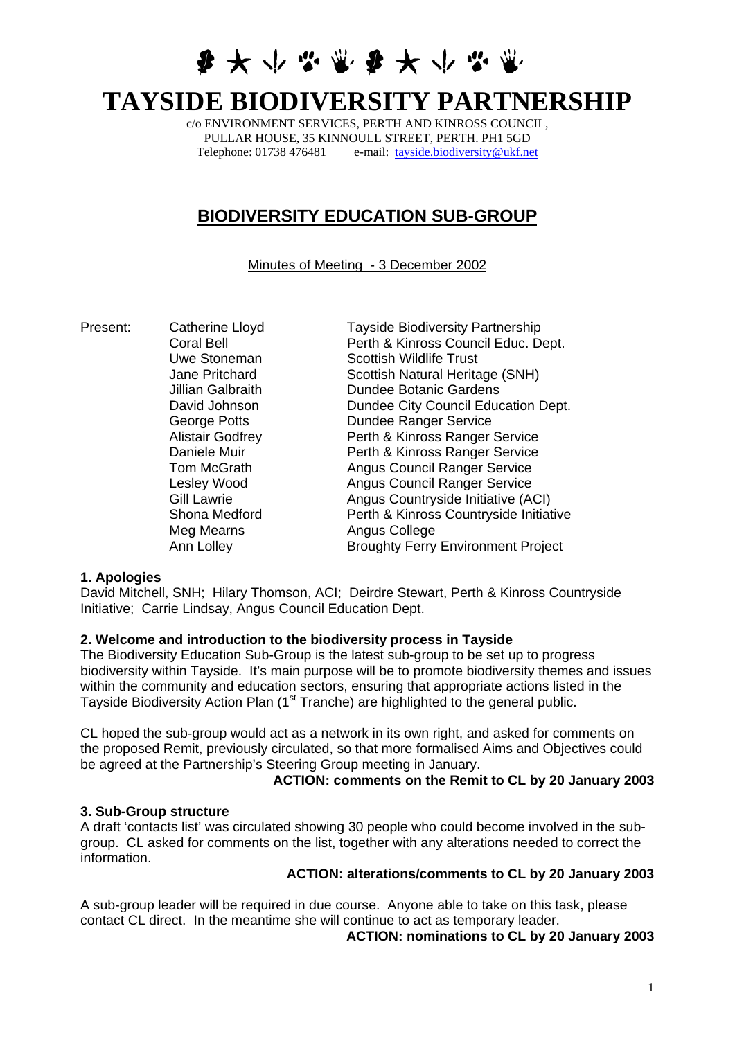**多大小心需要大小心需** 

# **TAYSIDE BIODIVERSITY PARTNERSHIP**

c/o ENVIRONMENT SERVICES, PERTH AND KINROSS COUNCIL, PULLAR HOUSE, 35 KINNOULL STREET, PERTH. PH1 5GD Telephone: 01738 476481 e-mail: [tayside.biodiversity@ukf.net](mailto:tayside.biodiversity@ukf.net)

# **BIODIVERSITY EDUCATION SUB-GROUP**

Minutes of Meeting - 3 December 2002

Meg Mearns **Angus College** 

Present: Catherine Lloyd Tayside Biodiversity Partnership Coral Bell Perth & Kinross Council Educ. Dept. Uwe Stoneman Scottish Wildlife Trust Jane Pritchard Scottish Natural Heritage (SNH) Jillian Galbraith Dundee Botanic Gardens David Johnson **Dundee City Council Education Dept.** George Potts **Dundee Ranger Service** Alistair Godfrey **Perth & Kinross Ranger Service** Daniele Muir Perth & Kinross Ranger Service **Tom McGrath Council Ranger Service** Lesley Wood **Angus Council Ranger Service** Gill Lawrie **Angus Countryside Initiative (ACI)** Shona Medford **Perth & Kinross Countryside Initiative** Ann Lolley **Broughty Ferry Environment Project** 

#### **1. Apologies**

David Mitchell, SNH; Hilary Thomson, ACI; Deirdre Stewart, Perth & Kinross Countryside Initiative; Carrie Lindsay, Angus Council Education Dept.

#### **2. Welcome and introduction to the biodiversity process in Tayside**

The Biodiversity Education Sub-Group is the latest sub-group to be set up to progress biodiversity within Tayside. It's main purpose will be to promote biodiversity themes and issues within the community and education sectors, ensuring that appropriate actions listed in the Tayside Biodiversity Action Plan (1<sup>st</sup> Tranche) are highlighted to the general public.

CL hoped the sub-group would act as a network in its own right, and asked for comments on the proposed Remit, previously circulated, so that more formalised Aims and Objectives could be agreed at the Partnership's Steering Group meeting in January.

#### **ACTION: comments on the Remit to CL by 20 January 2003**

#### **3. Sub-Group structure**

A draft 'contacts list' was circulated showing 30 people who could become involved in the subgroup. CL asked for comments on the list, together with any alterations needed to correct the information.

#### **ACTION: alterations/comments to CL by 20 January 2003**

A sub-group leader will be required in due course. Anyone able to take on this task, please contact CL direct. In the meantime she will continue to act as temporary leader.

**ACTION: nominations to CL by 20 January 2003**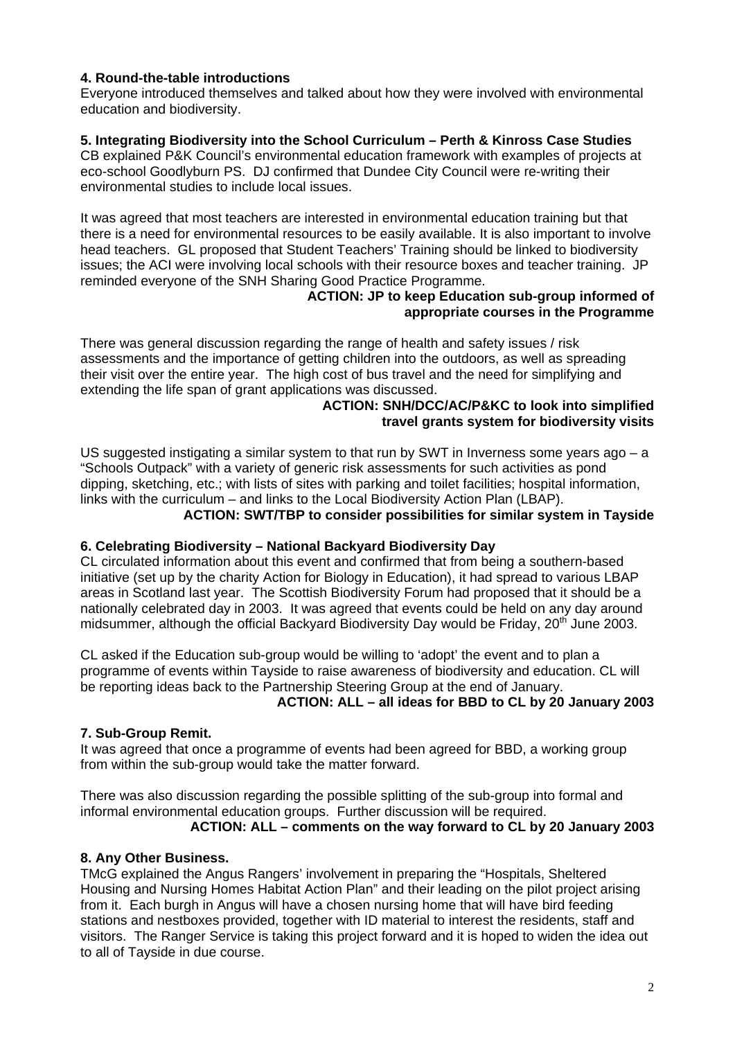## **4. Round-the-table introductions**

Everyone introduced themselves and talked about how they were involved with environmental education and biodiversity.

## **5. Integrating Biodiversity into the School Curriculum – Perth & Kinross Case Studies**

CB explained P&K Council's environmental education framework with examples of projects at eco-school Goodlyburn PS. DJ confirmed that Dundee City Council were re-writing their environmental studies to include local issues.

It was agreed that most teachers are interested in environmental education training but that there is a need for environmental resources to be easily available. It is also important to involve head teachers. GL proposed that Student Teachers' Training should be linked to biodiversity issues; the ACI were involving local schools with their resource boxes and teacher training. JP reminded everyone of the SNH Sharing Good Practice Programme.

#### **ACTION: JP to keep Education sub-group informed of appropriate courses in the Programme**

There was general discussion regarding the range of health and safety issues / risk assessments and the importance of getting children into the outdoors, as well as spreading their visit over the entire year. The high cost of bus travel and the need for simplifying and extending the life span of grant applications was discussed.

#### **ACTION: SNH/DCC/AC/P&KC to look into simplified travel grants system for biodiversity visits**

US suggested instigating a similar system to that run by SWT in Inverness some years ago – a "Schools Outpack" with a variety of generic risk assessments for such activities as pond dipping, sketching, etc.; with lists of sites with parking and toilet facilities; hospital information, links with the curriculum – and links to the Local Biodiversity Action Plan (LBAP).

**ACTION: SWT/TBP to consider possibilities for similar system in Tayside** 

#### **6. Celebrating Biodiversity – National Backyard Biodiversity Day**

CL circulated information about this event and confirmed that from being a southern-based initiative (set up by the charity Action for Biology in Education), it had spread to various LBAP areas in Scotland last year. The Scottish Biodiversity Forum had proposed that it should be a nationally celebrated day in 2003. It was agreed that events could be held on any day around midsummer, although the official Backyard Biodiversity Day would be Friday, 20<sup>th</sup> June 2003.

CL asked if the Education sub-group would be willing to 'adopt' the event and to plan a programme of events within Tayside to raise awareness of biodiversity and education. CL will be reporting ideas back to the Partnership Steering Group at the end of January.

**ACTION: ALL – all ideas for BBD to CL by 20 January 2003** 

#### **7. Sub-Group Remit.**

It was agreed that once a programme of events had been agreed for BBD, a working group from within the sub-group would take the matter forward.

There was also discussion regarding the possible splitting of the sub-group into formal and informal environmental education groups. Further discussion will be required.

#### **ACTION: ALL – comments on the way forward to CL by 20 January 2003**

#### **8. Any Other Business.**

TMcG explained the Angus Rangers' involvement in preparing the "Hospitals, Sheltered Housing and Nursing Homes Habitat Action Plan" and their leading on the pilot project arising from it. Each burgh in Angus will have a chosen nursing home that will have bird feeding stations and nestboxes provided, together with ID material to interest the residents, staff and visitors. The Ranger Service is taking this project forward and it is hoped to widen the idea out to all of Tayside in due course.